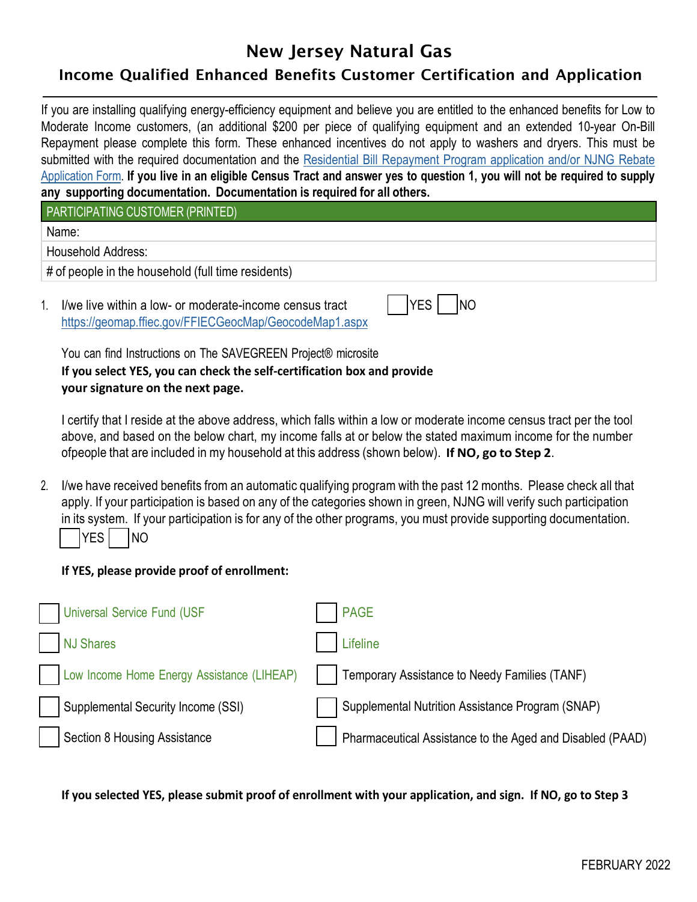## New Jersey Natural Gas

## Income Qualified Enhanced Benefits Customer Certification and Application

If you are installing qualifying energy-efficiency equipment and believe you are entitled to the enhanced benefits for Low to Moderate Income customers, (an additional \$200 per piece of qualifying equipment and an extended 10-year On-Bill Repayment please complete this form. These enhanced incentives do not apply to washers and dryers. This must be submitted with the required [documentation and the Residential Bill Repayment Program application and/or NJNG Rebate](https://savegreenproject.com/resources#apps-instructions) Application Form. **[If you live in an eligible Census Tract and answer yes to question 1, you will not be required to supply](https://savegreenproject.com/resources#apps-instructions) any supporting documentation. Documentation is required for all others.**

PARTICIPATING CUSTOMER (PRINTED)

Name:

Household Address:

# of people in the household (full time residents)

1. I/we live within a low- or moderate-income census tract <https://geomap.ffiec.gov/FFIECGeocMap/GeocodeMap1.aspx>

|--|

You can find Instructions on The SAVEGREEN Project® microsite **If you select YES, you can check the self-certification box and provide your signature on the next page.**

I certify that I reside at the above address, which falls within a low or moderate income census tract per the tool above, and based on the below chart, my income falls at or below the stated maximum income for the number ofpeople that are included in my household at this address (shown below). **If NO, go to Step 2**.

2. I/we have received benefits from an automatic qualifying program with the past 12 months. Please check all that apply. If your participation is based on any of the categories shown in green, NJNG will verify such participation in its system. If your participation is for any of the other programs, you must provide supporting documentation.  $YES$   $NO$ 

## **If YES, please provide proof of enrollment:**

| Universal Service Fund (USF                | <b>PAGE</b>                                               |
|--------------------------------------------|-----------------------------------------------------------|
| <b>NJ Shares</b>                           | Lifeline                                                  |
| Low Income Home Energy Assistance (LIHEAP) | Temporary Assistance to Needy Families (TANF)             |
| Supplemental Security Income (SSI)         | Supplemental Nutrition Assistance Program (SNAP)          |
| Section 8 Housing Assistance               | Pharmaceutical Assistance to the Aged and Disabled (PAAD) |

If you selected YES, please submit proof of enrollment with your application, and sign. If NO, go to Step 3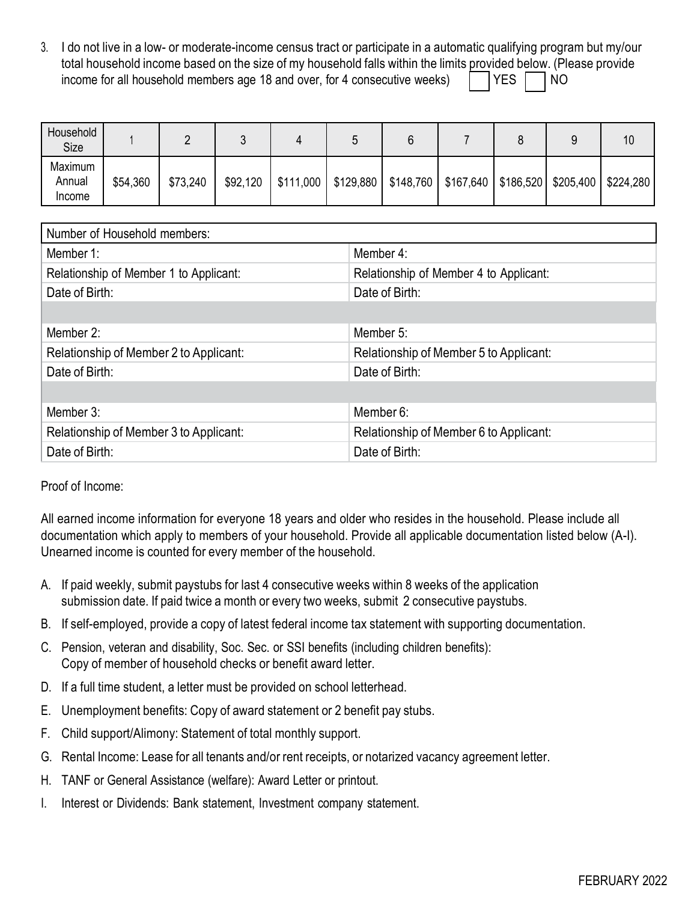3. I do not live in a low- or moderate-income census tract or participate in a automatic qualifying program but my/our total household income based on the size of my household falls within the limits provided below. (Please provide income for all household members age 18 and over, for 4 consecutive weeks)  $\parallel$  YES  $\parallel$  NO

| Household<br>Size           |          |          |          |           |           |           |  |                                    | 10        |
|-----------------------------|----------|----------|----------|-----------|-----------|-----------|--|------------------------------------|-----------|
| Maximum<br>Annual<br>Income | \$54,360 | \$73,240 | \$92,120 | \$111,000 | \$129,880 | \$148,760 |  | $$167,640$   \$186,520   \$205,400 | \$224,280 |

| Number of Household members:           |                                        |
|----------------------------------------|----------------------------------------|
| Member 1:                              | Member 4:                              |
| Relationship of Member 1 to Applicant: | Relationship of Member 4 to Applicant: |
| Date of Birth:                         | Date of Birth:                         |
|                                        |                                        |
| Member 2:                              | Member 5:                              |
| Relationship of Member 2 to Applicant: | Relationship of Member 5 to Applicant: |
| Date of Birth:                         | Date of Birth:                         |
|                                        |                                        |
| Member 3:                              | Member 6:                              |
| Relationship of Member 3 to Applicant: | Relationship of Member 6 to Applicant: |
| Date of Birth:                         | Date of Birth:                         |

## Proof of Income:

All earned income information for everyone 18 years and older who resides in the household. Please include all documentation which apply to members of your household. Provide all applicable documentation listed below (A-I). Unearned income is counted for every member of the household.

- A. If paid weekly, submit paystubs for last 4 consecutive weeks within 8 weeks of the application submission date. If paid twice a month or every two weeks, submit 2 consecutive paystubs.
- B. If self-employed, provide a copy of latest federal income tax statement with supporting documentation.
- C. Pension, veteran and disability, Soc. Sec. or SSI benefits (including children benefits): Copy of member of household checks or benefit award letter.
- D. If a full time student, a letter must be provided on school letterhead.
- E. Unemployment benefits: Copy of award statement or 2 benefit pay stubs.
- F. Child support/Alimony: Statement of total monthly support.
- G. Rental Income: Lease for all tenants and/or rent receipts, or notarized vacancy agreement letter.
- H. TANF or General Assistance (welfare): Award Letter or printout.
- I. Interest or Dividends: Bank statement, Investment company statement.